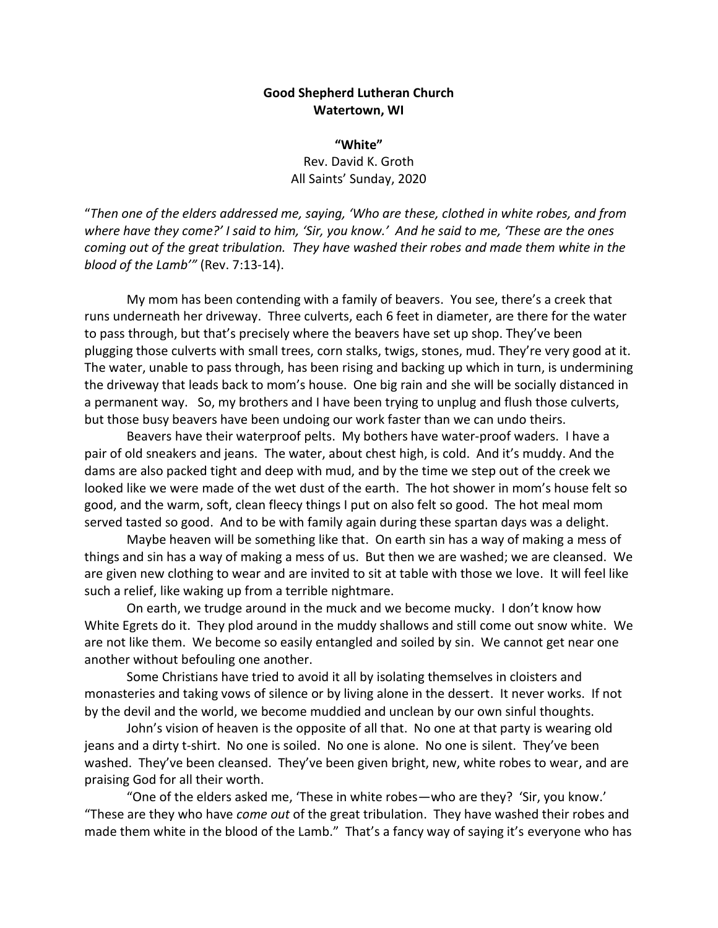## **Good Shepherd Lutheran Church Watertown, WI**

**"White"**

Rev. David K. Groth All Saints' Sunday, 2020

"*Then one of the elders addressed me, saying, 'Who are these, clothed in white robes, and from where have they come?' I said to him, 'Sir, you know.' And he said to me, 'These are the ones coming out of the great tribulation. They have washed their robes and made them white in the blood of the Lamb'"* (Rev. 7:13-14).

My mom has been contending with a family of beavers. You see, there's a creek that runs underneath her driveway. Three culverts, each 6 feet in diameter, are there for the water to pass through, but that's precisely where the beavers have set up shop. They've been plugging those culverts with small trees, corn stalks, twigs, stones, mud. They're very good at it. The water, unable to pass through, has been rising and backing up which in turn, is undermining the driveway that leads back to mom's house. One big rain and she will be socially distanced in a permanent way. So, my brothers and I have been trying to unplug and flush those culverts, but those busy beavers have been undoing our work faster than we can undo theirs.

Beavers have their waterproof pelts. My bothers have water-proof waders. I have a pair of old sneakers and jeans. The water, about chest high, is cold. And it's muddy. And the dams are also packed tight and deep with mud, and by the time we step out of the creek we looked like we were made of the wet dust of the earth. The hot shower in mom's house felt so good, and the warm, soft, clean fleecy things I put on also felt so good. The hot meal mom served tasted so good. And to be with family again during these spartan days was a delight.

Maybe heaven will be something like that. On earth sin has a way of making a mess of things and sin has a way of making a mess of us. But then we are washed; we are cleansed. We are given new clothing to wear and are invited to sit at table with those we love. It will feel like such a relief, like waking up from a terrible nightmare.

On earth, we trudge around in the muck and we become mucky. I don't know how White Egrets do it. They plod around in the muddy shallows and still come out snow white. We are not like them. We become so easily entangled and soiled by sin. We cannot get near one another without befouling one another.

Some Christians have tried to avoid it all by isolating themselves in cloisters and monasteries and taking vows of silence or by living alone in the dessert. It never works. If not by the devil and the world, we become muddied and unclean by our own sinful thoughts.

John's vision of heaven is the opposite of all that. No one at that party is wearing old jeans and a dirty t-shirt. No one is soiled. No one is alone. No one is silent. They've been washed. They've been cleansed. They've been given bright, new, white robes to wear, and are praising God for all their worth.

"One of the elders asked me, 'These in white robes—who are they? 'Sir, you know.' "These are they who have *come out* of the great tribulation. They have washed their robes and made them white in the blood of the Lamb." That's a fancy way of saying it's everyone who has